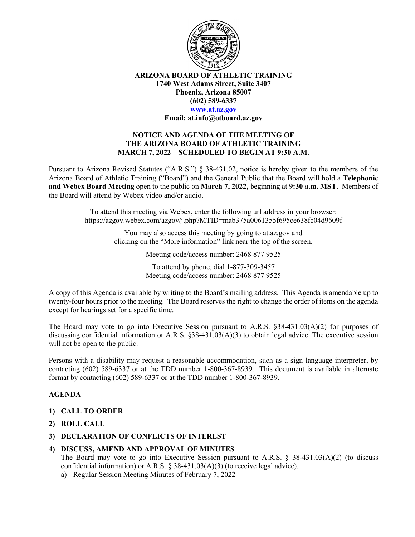

**ARIZONA BOARD OF ATHLETIC TRAINING 1740 West Adams Street, Suite 3407 Phoenix, Arizona 85007 (602) 589-6337**

# **[www.at.az.gov](https://www.at.az.gov/)**

**Email: at.info@otboard.az.gov**

#### **NOTICE AND AGENDA OF THE MEETING OF THE ARIZONA BOARD OF ATHLETIC TRAINING MARCH 7, 2022 – SCHEDULED TO BEGIN AT 9:30 A.M.**

Pursuant to Arizona Revised Statutes ("A.R.S.") § 38-431.02, notice is hereby given to the members of the Arizona Board of Athletic Training ("Board") and the General Public that the Board will hold a **Telephonic and Webex Board Meeting** open to the public on **March 7, 2022,** beginning at **9:30 a.m. MST.** Members of the Board will attend by Webex video and/or audio.

> To attend this meeting via Webex, enter the following url address in your browser: https://azgov.webex.com/azgov/j.php?MTID=mab375a0061355f695ce638fc04d9609f

> > You may also access this meeting by going to at.az.gov and clicking on the "More information" link near the top of the screen.

> > > Meeting code/access number: 2468 877 9525

To attend by phone, dial 1-877-309-3457 Meeting code/access number: 2468 877 9525

A copy of this Agenda is available by writing to the Board's mailing address. This Agenda is amendable up to twenty-four hours prior to the meeting. The Board reserves the right to change the order of items on the agenda except for hearings set for a specific time.

The Board may vote to go into Executive Session pursuant to A.R.S. §38-431.03(A)(2) for purposes of discussing confidential information or A.R.S. §38-431.03(A)(3) to obtain legal advice. The executive session will not be open to the public.

Persons with a disability may request a reasonable accommodation, such as a sign language interpreter, by contacting (602) 589-6337 or at the TDD number 1-800-367-8939. This document is available in alternate format by contacting (602) 589-6337 or at the TDD number 1-800-367-8939.

## **AGENDA**

- **1) CALL TO ORDER**
- **2) ROLL CALL**
- **3) DECLARATION OF CONFLICTS OF INTEREST**

#### **4) DISCUSS, AMEND AND APPROVAL OF MINUTES**

The Board may vote to go into Executive Session pursuant to A.R.S.  $\S$  38-431.03(A)(2) (to discuss confidential information) or A.R.S.  $\S$  38-431.03(A)(3) (to receive legal advice).

a) Regular Session Meeting Minutes of February 7, 2022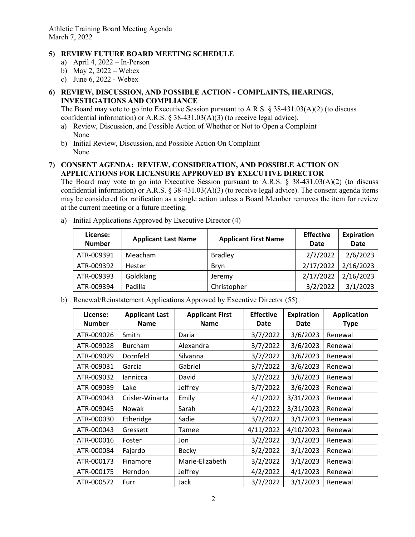Athletic Training Board Meeting Agenda March 7, 2022

## **5) REVIEW FUTURE BOARD MEETING SCHEDULE**

- a) April 4, 2022 In-Person
- b) May 2, 2022 Webex
- c) June 6, 2022 Webex

## **6) REVIEW, DISCUSSION, AND POSSIBLE ACTION - COMPLAINTS, HEARINGS, INVESTIGATIONS AND COMPLIANCE**

The Board may vote to go into Executive Session pursuant to A.R.S. § 38-431.03(A)(2) (to discuss confidential information) or A.R.S.  $\S$  38-431.03(A)(3) (to receive legal advice).

- a) Review, Discussion, and Possible Action of Whether or Not to Open a Complaint None
- b) Initial Review, Discussion, and Possible Action On Complaint None

#### **7) CONSENT AGENDA: REVIEW, CONSIDERATION, AND POSSIBLE ACTION ON APPLICATIONS FOR LICENSURE APPROVED BY EXECUTIVE DIRECTOR**

The Board may vote to go into Executive Session pursuant to A.R.S.  $\S$  38-431.03(A)(2) (to discuss confidential information) or A.R.S. § 38-431.03(A)(3) (to receive legal advice). The consent agenda items may be considered for ratification as a single action unless a Board Member removes the item for review at the current meeting or a future meeting.

| License:<br><b>Number</b> | <b>Applicant Last Name</b> | <b>Applicant First Name</b> | <b>Effective</b><br>Date | <b>Expiration</b><br><b>Date</b> |
|---------------------------|----------------------------|-----------------------------|--------------------------|----------------------------------|
| ATR-009391                | Meacham                    | <b>Bradley</b>              | 2/7/2022                 | 2/6/2023                         |
| ATR-009392                | Hester                     | Bryn                        | 2/17/2022                | 2/16/2023                        |
| ATR-009393                | Goldklang                  | Jeremy                      | 2/17/2022                | 2/16/2023                        |
| ATR-009394                | Padilla                    | Christopher                 | 3/2/2022                 | 3/1/2023                         |

a) Initial Applications Approved by Executive Director (4)

b) Renewal/Reinstatement Applications Approved by Executive Director (55)

| License:<br><b>Number</b> | <b>Applicant Last</b><br><b>Name</b> | <b>Applicant First</b><br><b>Name</b> | <b>Effective</b><br>Date | <b>Expiration</b><br><b>Date</b> | <b>Application</b><br><b>Type</b> |
|---------------------------|--------------------------------------|---------------------------------------|--------------------------|----------------------------------|-----------------------------------|
| ATR-009026                | Smith                                | Daria                                 | 3/7/2022                 | 3/6/2023                         | Renewal                           |
| ATR-009028                | <b>Burcham</b>                       | Alexandra                             | 3/7/2022                 | 3/6/2023                         | Renewal                           |
| ATR-009029                | Dornfeld                             | Silvanna                              | 3/7/2022                 | 3/6/2023                         | Renewal                           |
| ATR-009031                | Garcia                               | Gabriel                               | 3/7/2022                 | 3/6/2023                         | Renewal                           |
| ATR-009032                | lannicca                             | David                                 | 3/7/2022                 | 3/6/2023                         | Renewal                           |
| ATR-009039                | Lake                                 | Jeffrey                               | 3/7/2022                 | 3/6/2023                         | Renewal                           |
| ATR-009043                | Crisler-Winarta                      | Emily                                 | 4/1/2022                 | 3/31/2023                        | Renewal                           |
| ATR-009045                | <b>Nowak</b>                         | Sarah                                 | 4/1/2022                 | 3/31/2023                        | Renewal                           |
| ATR-000030                | Etheridge                            | Sadie                                 | 3/2/2022                 | 3/1/2023                         | Renewal                           |
| ATR-000043                | Gressett                             | Tamee                                 | 4/11/2022                | 4/10/2023                        | Renewal                           |
| ATR-000016                | Foster                               | Jon                                   | 3/2/2022                 | 3/1/2023                         | Renewal                           |
| ATR-000084                | Fajardo                              | <b>Becky</b>                          | 3/2/2022                 | 3/1/2023                         | Renewal                           |
| ATR-000173                | Finamore                             | Marie-Elizabeth                       | 3/2/2022                 | 3/1/2023                         | Renewal                           |
| ATR-000175                | Herndon                              | Jeffrey                               | 4/2/2022                 | 4/1/2023                         | Renewal                           |
| ATR-000572                | Furr                                 | Jack                                  | 3/2/2022                 | 3/1/2023                         | Renewal                           |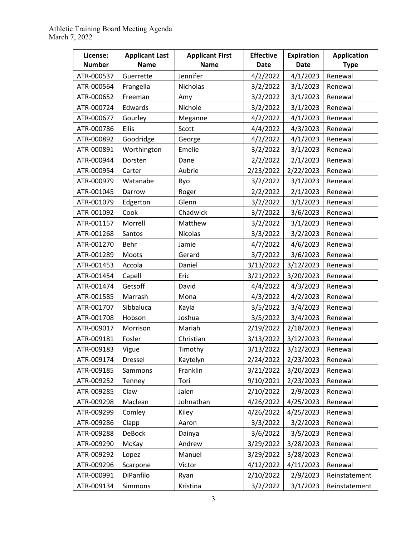| License:<br><b>Number</b> | <b>Applicant Last</b><br><b>Name</b> | <b>Applicant First</b><br><b>Name</b> | <b>Effective</b><br><b>Date</b> | <b>Expiration</b><br><b>Date</b> | <b>Application</b><br><b>Type</b> |
|---------------------------|--------------------------------------|---------------------------------------|---------------------------------|----------------------------------|-----------------------------------|
| ATR-000537                | Guerrette                            | Jennifer                              | 4/2/2022                        | 4/1/2023                         | Renewal                           |
| ATR-000564                | Frangella                            | Nicholas                              | 3/2/2022                        | 3/1/2023                         | Renewal                           |
| ATR-000652                | Freeman                              | Amy                                   | 3/2/2022                        | 3/1/2023                         | Renewal                           |
| ATR-000724                | Edwards                              | Nichole                               | 3/2/2022                        | 3/1/2023                         | Renewal                           |
| ATR-000677                | Gourley                              | Meganne                               | 4/2/2022                        | 4/1/2023                         | Renewal                           |
| ATR-000786                | Ellis                                | Scott                                 | 4/4/2022                        | 4/3/2023                         | Renewal                           |
| ATR-000892                | Goodridge                            | George                                | 4/2/2022                        | 4/1/2023                         | Renewal                           |
| ATR-000891                | Worthington                          | Emelie                                | 3/2/2022                        | 3/1/2023                         | Renewal                           |
| ATR-000944                | Dorsten                              | Dane                                  | 2/2/2022                        | 2/1/2023                         | Renewal                           |
| ATR-000954                | Carter                               | Aubrie                                | 2/23/2022                       | 2/22/2023                        | Renewal                           |
| ATR-000979                | Watanabe                             | Ryo                                   | 3/2/2022                        | 3/1/2023                         | Renewal                           |
| ATR-001045                | Darrow                               | Roger                                 | 2/2/2022                        | 2/1/2023                         | Renewal                           |
| ATR-001079                | Edgerton                             | Glenn                                 | 3/2/2022                        | 3/1/2023                         | Renewal                           |
| ATR-001092                | Cook                                 | Chadwick                              | 3/7/2022                        | 3/6/2023                         | Renewal                           |
| ATR-001157                | Morrell                              | Matthew                               | 3/2/2022                        | 3/1/2023                         | Renewal                           |
| ATR-001268                | Santos                               | <b>Nicolas</b>                        | 3/3/2022                        | 3/2/2023                         | Renewal                           |
| ATR-001270                | Behr                                 | Jamie                                 | 4/7/2022                        | 4/6/2023                         | Renewal                           |
| ATR-001289                | Moots                                | Gerard                                | 3/7/2022                        | 3/6/2023                         | Renewal                           |
| ATR-001453                | Accola                               | Daniel                                | 3/13/2022                       | 3/12/2023                        | Renewal                           |
| ATR-001454                | Capell                               | Eric                                  | 3/21/2022                       | 3/20/2023                        | Renewal                           |
| ATR-001474                | Getsoff                              | David                                 | 4/4/2022                        | 4/3/2023                         | Renewal                           |
| ATR-001585                | Marrash                              | Mona                                  | 4/3/2022                        | 4/2/2023                         | Renewal                           |
| ATR-001707                | Sibbaluca                            | Kayla                                 | 3/5/2022                        | 3/4/2023                         | Renewal                           |
| ATR-001708                | Hobson                               | Joshua                                | 3/5/2022                        | 3/4/2023                         | Renewal                           |
| ATR-009017                | Morrison                             | Mariah                                | 2/19/2022                       | 2/18/2023                        | Renewal                           |
| ATR-009181                | Fosler                               | Christian                             | 3/13/2022                       | 3/12/2023                        | Renewal                           |
| ATR-009183                | Vigue                                | Timothy                               | 3/13/2022                       | 3/12/2023                        | Renewal                           |
| ATR-009174                | Dressel                              | Kaytelyn                              | 2/24/2022                       | 2/23/2023                        | Renewal                           |
| ATR-009185                | Sammons                              | Franklin                              | 3/21/2022                       | 3/20/2023                        | Renewal                           |
| ATR-009252                | Tenney                               | Tori                                  | 9/10/2021                       | 2/23/2023                        | Renewal                           |
| ATR-009285                | Claw                                 | Jalen                                 | 2/10/2022                       | 2/9/2023                         | Renewal                           |
| ATR-009298                | Maclean                              | Johnathan                             | 4/26/2022                       | 4/25/2023                        | Renewal                           |
| ATR-009299                | Comley                               | Kiley                                 | 4/26/2022                       | 4/25/2023                        | Renewal                           |
| ATR-009286                | Clapp                                | Aaron                                 | 3/3/2022                        | 3/2/2023                         | Renewal                           |
| ATR-009288                | <b>DeBock</b>                        | Dainya                                | 3/6/2022                        | 3/5/2023                         | Renewal                           |
| ATR-009290                | McKay                                | Andrew                                | 3/29/2022                       | 3/28/2023                        | Renewal                           |
| ATR-009292                | Lopez                                | Manuel                                | 3/29/2022                       | 3/28/2023                        | Renewal                           |
| ATR-009296                | Scarpone                             | Victor                                | 4/12/2022                       | 4/11/2023                        | Renewal                           |
| ATR-000991                | DiPanfilo                            | Ryan                                  | 2/10/2022                       | 2/9/2023                         | Reinstatement                     |
| ATR-009134                | Simmons                              | Kristina                              | 3/2/2022                        | 3/1/2023                         | Reinstatement                     |